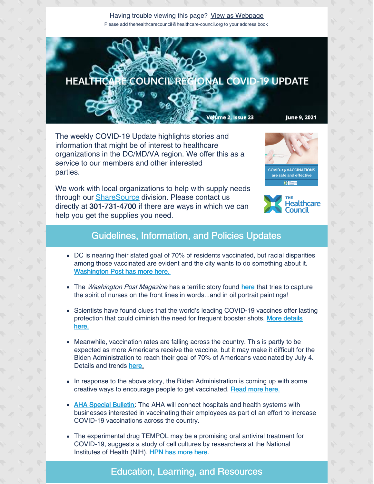Having trouble viewing this page? View as [Webpage](http://campaign.r20.constantcontact.com/render?ca=c58e0afa-df18-4dce-a774-bd80f354413f&preview=true&m=1135298390468&id=preview) Please add thehealthcarecouncil@healthcare-council.org to your address book



The weekly COVID-19 Update highlights stories and information that might be of interest to healthcare organizations in the DC/MD/VA region. We offer this as a service to our members and other interested parties.

We work with local organizations to help with supply needs through our **[ShareSource](https://www.share-source.org/)** division. Please contact us directly at 301-731-4700 if there are ways in which we can help you get the supplies you need.





## Guidelines, Information, and Policies Updates

- DC is nearing their stated goal of 70% of residents vaccinated, but racial disparities among those vaccinated are evident and the city wants to do something about it. [Washington](https://washingtoncitypaper.com/article/518742/d-c-vaccinations-near-seventy-percent-goal/) Post has more here.
- The *Washington Post Magazine* has a terrific story found [here](https://www.washingtonpost.com/magazine/2021/06/02/painting-nurses-height-pandemic-portrait-artist-learns-what-it-is-depict-bravery/?utm_campaign=wp_the_optimist&utm_medium=email&utm_source=newsletter&wpisrc=nl_optimist&carta-url=https%3A%2F%2Fs2.washingtonpost.com%2Fcar-ln-tr%2F3343a19%2F60bcc7029d2fdae30271e1fc%2F596c064a9bbc0f20864fe286%2F8%2F48%2F60bcc7029d2fdae30271e1fc) that tries to capture the spirit of nurses on the front lines in words...and in oil portrait paintings!
- Scientists have found clues that the world's leading COVID-19 vaccines offer lasting [protection](https://apnews.com/article/us-news-coronavirus-pandemic-science-coronavirus-vaccine-health-d1c023524e87bbcf4add139ffcd349e9) that could diminish the need for frequent booster shots. More details here.
- Meanwhile, vaccination rates are falling across the country. This is partly to be expected as more Americans receive the vaccine, but it may make it difficult for the Biden Administration to reach their goal of 70% of Americans vaccinated by July 4. Details and trends [here.](https://www.washingtonpost.com/health/2021/06/06/vaccination-rates-decline-us/?mkt_tok=ODUwLVRBQS01MTEAAAF9hW68CqbmxKHICsD-DzAVYRXBTRWBP_9G2kipuU20UIZhrSZratMJp6BVCKPTfGo-u4iYDa3SWWpGr43GqvvXph0FX-xTnrICkob_H_e8-7HP)
- In response to the above story, the Biden Administration is coming up with some creative ways to encourage people to get vaccinated. [Read](https://www.hpnonline.com/infection-prevention/crisis-planning-outbreak-response/article/21225354/president-biden-plans-to-ensure-70-us-vaccinated-by-july-4-with-five-actions?utm_source=HPN+Daily+Newsletter&utm_medium=email&utm_campaign=CPS210602115&o_eid=8887J6354667A2S&rdx.ident=%5Bobject+Object%5D&oly_enc_id=8887J6354667A2S) more here.
- AHA Special [Bulletin](https://contentsharing.net/actions/email_web_version.cfm?ep=Bdhtp-zVuqFkgQiV6-lxty0f-nrLBJWzuTngPvD-5dUjMECAOFeXStIZPf9zqaAS7n7PO6G2y_cdn9mrtKot934iZ386GkhdBIX_wGbyOGhzKtMeWgO-NGCKFOyZCxQ_): The AHA will connect hospitals and health systems with businesses interested in vaccinating their employees as part of an effort to increase COVID-19 vaccinations across the country.
- The experimental drug TEMPOL may be a promising oral antiviral treatment for COVID-19, suggests a study of cell cultures by researchers at the National Institutes of Health (NIH). HPN has more [here.](https://www.hpnonline.com/surgical-critical-care/article/21225696/nih-researchers-identify-potential-new-antiviral-drug-for-covid19?utm_source=HPN+Daily+Newsletter&utm_medium=email&utm_campaign=CPS210604069&o_eid=8887J6354667A2S&rdx.ident=%5Bobject+Object%5D&oly_enc_id=8887J6354667A2S)

## Education, Learning, and Resources